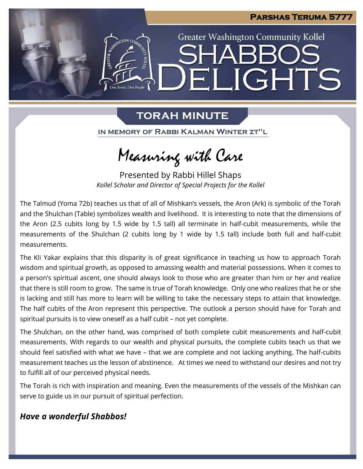

## **TORAH MINUTE**

IN MEMORY OF RABBI KALMAN WINTER ZT"L

Measuring with Care

Presented by Rabbi Hillel Shaps *Kollel Scholar and Director of Special Projects for the Kollel*

The Talmud (Yoma 72b) teaches us that of all of Mishkan's vessels, the Aron (Ark) is symbolic of the Torah and the Shulchan (Table) symbolizes wealth and livelihood. It is interesting to note that the dimensions of the Aron (2.5 cubits long by 1.5 wide by 1.5 tall) all terminate in half-cubit measurements, while the measurements of the Shulchan (2 cubits long by 1 wide by 1.5 tall) include both full and half-cubit measurements.

The Kli Yakar explains that this disparity is of great significance in teaching us how to approach Torah wisdom and spiritual growth, as opposed to amassing wealth and material possessions. When it comes to a person's spiritual ascent, one should always look to those who are greater than him or her and realize that there is still room to grow. The same is true of Torah knowledge. Only one who realizes that he or she is lacking and still has more to learn will be willing to take the necessary steps to attain that knowledge. The half cubits of the Aron represent this perspective. The outlook a person should have for Torah and spiritual pursuits is to view oneself as a half cubit – not yet complete.

The Shulchan, on the other hand, was comprised of both complete cubit measurements and half-cubit measurements. With regards to our wealth and physical pursuits, the complete cubits teach us that we should feel satisfied with what we have – that we are complete and not lacking anything. The half-cubits measurement teaches us the lesson of abstinence. At times we need to withstand our desires and not try to fulfill all of our perceived physical needs.

The Torah is rich with inspiration and meaning. Even the measurements of the vessels of the Mishkan can serve to guide us in our pursuit of spiritual perfection.

### *Have a wonderful Shabbos!*